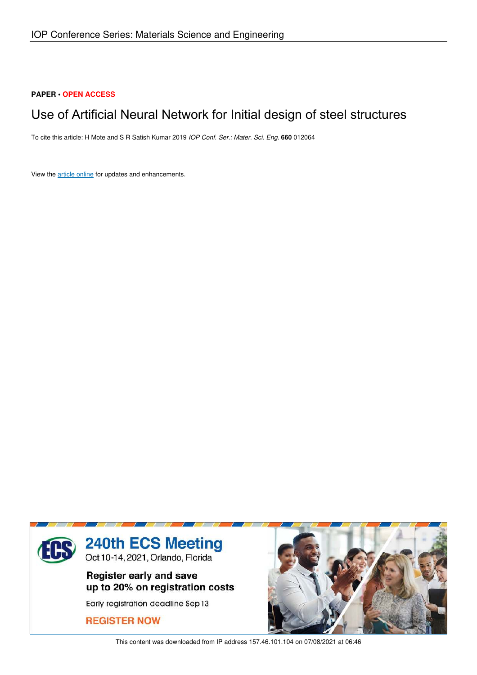# **PAPER • OPEN ACCESS**

# Use of Artificial Neural Network for Initial design of steel structures

To cite this article: H Mote and S R Satish Kumar 2019 *IOP Conf. Ser.: Mater. Sci. Eng.* **660** 012064

View the article online for updates and enhancements.



This content was downloaded from IP address 157.46.101.104 on 07/08/2021 at 06:46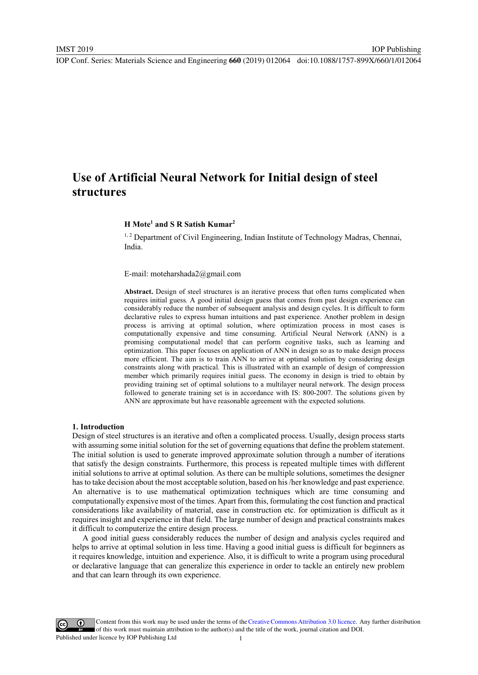# Use of Artificial Neural Network for Initial design of steel structures

# H Mote<sup>1</sup> and S R Satish Kumar<sup>2</sup>

<sup>1,2</sup> Department of Civil Engineering, Indian Institute of Technology Madras, Chennai, India.

E-mail: moteharshada2@gmail.com

Abstract. Design of steel structures is an iterative process that often turns complicated when requires initial guess. A good initial design guess that comes from past design experience can considerably reduce the number of subsequent analysis and design cycles. It is difficult to form declarative rules to express human intuitions and past experience. Another problem in design process is arriving at optimal solution, where optimization process in most cases is computationally expensive and time consuming. Artificial Neural Network (ANN) is a promising computational model that can perform cognitive tasks, such as learning and optimization. This paper focuses on application of ANN in design so as to make design process more efficient. The aim is to train ANN to arrive at optimal solution by considering design constraints along with practical. This is illustrated with an example of design of compression member which primarily requires initial guess. The economy in design is tried to obtain by providing training set of optimal solutions to a multilayer neural network. The design process followed to generate training set is in accordance with IS: 800-2007. The solutions given by ANN are approximate but have reasonable agreement with the expected solutions.

#### 1. Introduction

Design of steel structures is an iterative and often a complicated process. Usually, design process starts with assuming some initial solution for the set of governing equations that define the problem statement. The initial solution is used to generate improved approximate solution through a number of iterations that satisfy the design constraints. Furthermore, this process is repeated multiple times with different initial solutions to arrive at optimal solution. As there can be multiple solutions, sometimes the designer has to take decision about the most acceptable solution, based on his /her knowledge and past experience. An alternative is to use mathematical optimization techniques which are time consuming and computationally expensive most of the times. Apart from this, formulating the cost function and practical considerations like availability of material, ease in construction etc. for optimization is difficult as it requires insight and experience in that field. The large number of design and practical constraints makes it difficult to computerize the entire design process.

A good initial guess considerably reduces the number of design and analysis cycles required and helps to arrive at optimal solution in less time. Having a good initial guess is difficult for beginners as it requires knowledge, intuition and experience. Also, it is difficult to write a program using procedural or declarative language that can generalize this experience in order to tackle an entirely new problem and that can learn through its own experience.

Content from this work may be used under the terms of the Creative Commons Attribution 3.0 licence. Any further distribution of this work must maintain attribution to the author(s) and the title of the work, journal citation and DOI. Published under licence by IOP Publishing Ltd 1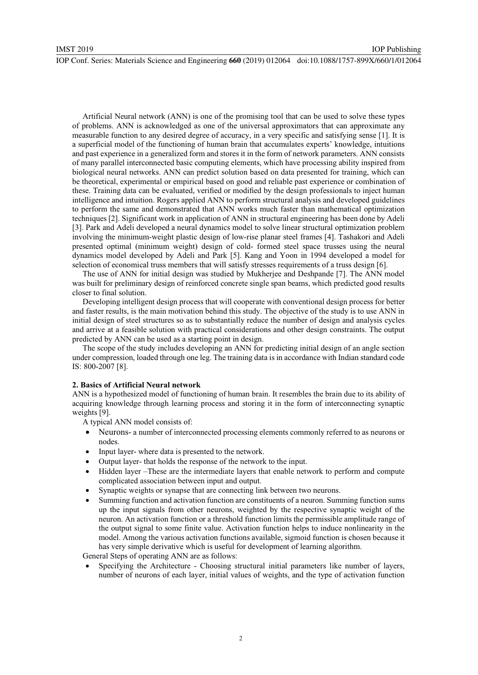Artificial Neural network (ANN) is one of the promising tool that can be used to solve these types of problems. ANN is acknowledged as one of the universal approximators that can approximate any measurable function to any desired degree of accuracy, in a very specific and satisfying sense [1]. It is a superficial model of the functioning of human brain that accumulates experts' knowledge, intuitions and past experience in a generalized form and stores it in the form of network parameters. ANN consists of many parallel interconnected basic computing elements, which have processing ability inspired from biological neural networks. ANN can predict solution based on data presented for training, which can be theoretical, experimental or empirical based on good and reliable past experience or combination of these. Training data can be evaluated, verified or modified by the design professionals to inject human intelligence and intuition. Rogers applied ANN to perform structural analysis and developed guidelines to perform the same and demonstrated that ANN works much faster than mathematical optimization techniques [2]. Significant work in application of ANN in structural engineering has been done by Adeli [3]. Park and Adeli developed a neural dynamics model to solve linear structural optimization problem involving the minimum-weight plastic design of low-rise planar steel frames [4]. Tashakori and Adeli presented optimal (minimum weight) design of cold- formed steel space trusses using the neural dynamics model developed by Adeli and Park [5]. Kang and Yoon in 1994 developed a model for selection of economical truss members that will satisfy stresses requirements of a truss design [6].

The use of ANN for initial design was studied by Mukherjee and Deshpande [7]. The ANN model was built for preliminary design of reinforced concrete single span beams, which predicted good results closer to final solution.

Developing intelligent design process that will cooperate with conventional design process for better and faster results, is the main motivation behind this study. The objective of the study is to use ANN in initial design of steel structures so as to substantially reduce the number of design and analysis cycles and arrive at a feasible solution with practical considerations and other design constraints. The output predicted by ANN can be used as a starting point in design.

The scope of the study includes developing an ANN for predicting initial design of an angle section under compression, loaded through one leg. The training data is in accordance with Indian standard code IS: 800-2007 [8].

# 2. Basics of Artificial Neural network

ANN is a hypothesized model of functioning of human brain. It resembles the brain due to its ability of acquiring knowledge through learning process and storing it in the form of interconnecting synaptic weights [9].

A typical ANN model consists of:

- $\bullet$  Neurons- a number of interconnected processing elements commonly referred to as neurons or nodes.
- $\bullet$ Input layer- where data is presented to the network.
- -Output layer- that holds the response of the network to the input.
- $\bullet$  Hidden layer –These are the intermediate layers that enable network to perform and compute complicated association between input and output.
- -Synaptic weights or synapse that are connecting link between two neurons.
- - Summing function and activation function are constituents of a neuron. Summing function sums up the input signals from other neurons, weighted by the respective synaptic weight of the neuron. An activation function or a threshold function limits the permissible amplitude range of the output signal to some finite value. Activation function helps to induce nonlinearity in the model. Among the various activation functions available, sigmoid function is chosen because it has very simple derivative which is useful for development of learning algorithm.

General Steps of operating ANN are as follows:

- Specifying the Architecture - Choosing structural initial parameters like number of layers, number of neurons of each layer, initial values of weights, and the type of activation function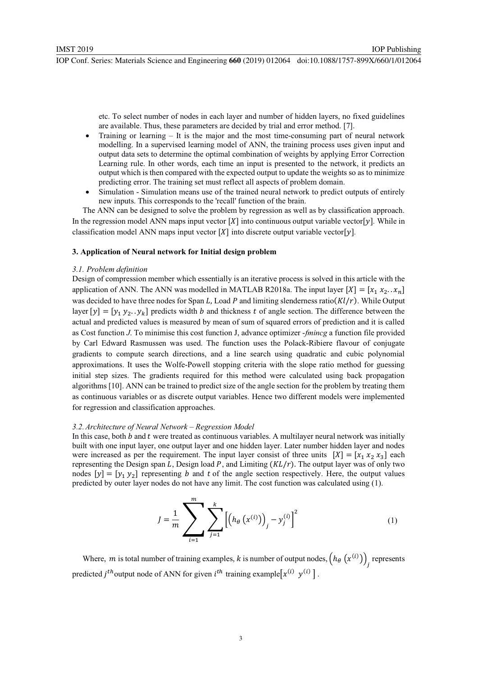etc. To select number of nodes in each layer and number of hidden layers, no fixed guidelines are available. Thus, these parameters are decided by trial and error method. [7].

IOP Publishing

- $\bullet$  Training or learning – It is the major and the most time-consuming part of neural network modelling. In a supervised learning model of ANN, the training process uses given input and output data sets to determine the optimal combination of weights by applying Error Correction Learning rule. In other words, each time an input is presented to the network, it predicts an output which is then compared with the expected output to update the weights so as to minimize predicting error. The training set must reflect all aspects of problem domain.
- - Simulation - Simulation means use of the trained neural network to predict outputs of entirely new inputs. This corresponds to the 'recall' function of the brain.

The ANN can be designed to solve the problem by regression as well as by classification approach. In the regression model ANN maps input vector  $[X]$  into continuous output variable vector  $[y]$ . While in classification model ANN maps input vector  $[X]$  into discrete output variable vector  $[y]$ .

### 3. Application of Neural network for Initial design problem

#### *3.1. Problem definition*

Design of compression member which essentially is an iterative process is solved in this article with the application of ANN. The ANN was modelled in MATLAB R2018a. The input layer  $[X] = [x_1 \ x_2 \dots x_n]$ was decided to have three nodes for Span L, Load P and limiting slenderness ratio( $Kl/r$ ). While Output layer  $[y] = [y_1 \, y_2 \, y_k]$  predicts width *b* and thickness *t* of angle section. The difference between the actual and predicted values is measured by mean of sum of squared errors of prediction and it is called as Cost function *J*. To minimise this cost function J, advance optimizer -*fmincg* a function file provided by Carl Edward Rasmussen was used. The function uses the Polack-Ribiere flavour of conjugate gradients to compute search directions, and a line search using quadratic and cubic polynomial approximations. It uses the Wolfe-Powell stopping criteria with the slope ratio method for guessing initial step sizes. The gradients required for this method were calculated using back propagation algorithms [10]. ANN can be trained to predict size of the angle section for the problem by treating them as continuous variables or as discrete output variables. Hence two different models were implemented for regression and classification approaches.

#### *3.2.Architecture of Neural Network – Regression Model*

In this case, both  $b$  and  $t$  were treated as continuous variables. A multilayer neural network was initially built with one input layer, one output layer and one hidden layer. Later number hidden layer and nodes were increased as per the requirement. The input layer consist of three units  $[X] = [x_1 \ x_2 \ x_3]$  each representing the Design span  $L$ , Design load  $P$ , and Limiting  $(KL/r)$ . The output layer was of only two nodes  $[y] = [y_1 y_2]$  representing *b* and *t* of the angle section respectively. Here, the output values predicted by outer layer nodes do not have any limit. The cost function was calculated using (1).

$$
J = \frac{1}{m} \sum_{i=1}^{m} \sum_{j=1}^{k} \left[ \left( h_{\theta} \left( x^{(i)} \right) \right)_{j} - y_{j}^{(i)} \right]^{2} \tag{1}
$$

Where, *m* is total number of training examples, *k* is number of output nodes,  $(h_{\theta}(x^{(i)}))_j$  represents predicted *j*<sup>th</sup> output node of ANN for given *i*<sup>th</sup> training example $[x^{(i)} y^{(i)}]$ .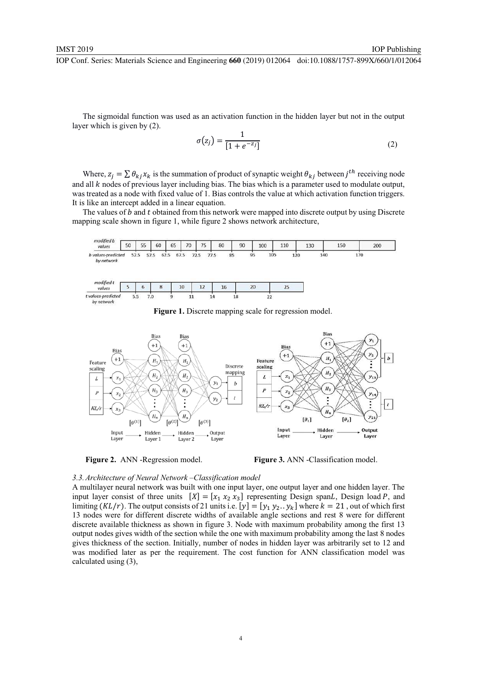The sigmoidal function was used as an activation function in the hidden layer but not in the output layer which is given by (2).

$$
\sigma(z_j) = \frac{1}{[1 + e^{-z_j}]}
$$
 (2)

IOP Publishing

Where,  $z_j = \sum_i \theta_{kj} x_k$  is the summation of product of synaptic weight  $\theta_{kj}$  between  $j^{th}$  receiving node and all  $k$  nodes of previous layer including bias. The bias which is a parameter used to modulate output, was treated as a node with fixed value of 1. Bias controls the value at which activation function triggers. It is like an intercept added in a linear equation.

The values of  $b$  and  $t$  obtained from this network were mapped into discrete output by using Discrete mapping scale shown in figure 1, while figure 2 shows network architecture,



Figure 1. Discrete mapping scale for regression model.





*3.3.Architecture of Neural Network –Classification model* 

A multilayer neural network was built with one input layer, one output layer and one hidden layer. The input layer consist of three units  $[X] = [x_1 \ x_2 \ x_3]$  representing Design spanL, Design load P, and limiting  $(KL/r)$ . The output consists of 21 units i.e.  $[y] = [y_1 \ y_2 \ y_k]$  where  $k = 21$ , out of which first 13 nodes were for different discrete widths of available angle sections and rest 8 were for different discrete available thickness as shown in figure 3. Node with maximum probability among the first 13 output nodes gives width of the section while the one with maximum probability among the last 8 nodes gives thickness of the section. Initially, number of nodes in hidden layer was arbitrarily set to 12 and was modified later as per the requirement. The cost function for ANN classification model was calculated using (3),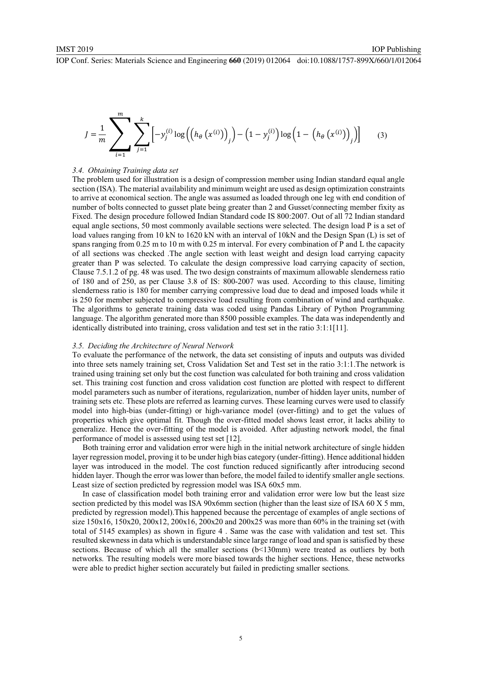$$
J = \frac{1}{m} \sum_{i=1}^{m} \sum_{j=1}^{k} \left[ -y_j^{(i)} \log \left( \left( h_\theta \left( x^{(i)} \right) \right)_j \right) - \left( 1 - y_j^{(i)} \right) \log \left( 1 - \left( h_\theta \left( x^{(i)} \right) \right)_j \right) \right]
$$
(3)

# *3.4. Obtaining Training data set*

The problem used for illustration is a design of compression member using Indian standard equal angle section (ISA). The material availability and minimum weight are used as design optimization constraints to arrive at economical section. The angle was assumed as loaded through one leg with end condition of number of bolts connected to gusset plate being greater than 2 and Gusset/connecting member fixity as Fixed. The design procedure followed Indian Standard code IS 800:2007. Out of all 72 Indian standard equal angle sections, 50 most commonly available sections were selected. The design load P is a set of load values ranging from 10 kN to 1620 kN with an interval of 10kN and the Design Span (L) is set of spans ranging from 0.25 m to 10 m with 0.25 m interval. For every combination of P and L the capacity of all sections was checked .The angle section with least weight and design load carrying capacity greater than P was selected. To calculate the design compressive load carrying capacity of section, Clause 7.5.1.2 of pg. 48 was used. The two design constraints of maximum allowable slenderness ratio of 180 and of 250, as per Clause 3.8 of IS: 800-2007 was used. According to this clause, limiting slenderness ratio is 180 for member carrying compressive load due to dead and imposed loads while it is 250 for member subjected to compressive load resulting from combination of wind and earthquake. The algorithms to generate training data was coded using Pandas Library of Python Programming language. The algorithm generated more than 8500 possible examples. The data was independently and identically distributed into training, cross validation and test set in the ratio 3:1:1[11].

# *3.5. Deciding the Architecture of Neural Network*

To evaluate the performance of the network, the data set consisting of inputs and outputs was divided into three sets namely training set, Cross Validation Set and Test set in the ratio 3:1:1.The network is trained using training set only but the cost function was calculated for both training and cross validation set. This training cost function and cross validation cost function are plotted with respect to different model parameters such as number of iterations, regularization, number of hidden layer units, number of training sets etc. These plots are referred as learning curves. These learning curves were used to classify model into high-bias (under-fitting) or high-variance model (over-fitting) and to get the values of properties which give optimal fit. Though the over-fitted model shows least error, it lacks ability to generalize. Hence the over-fitting of the model is avoided. After adjusting network model, the final performance of model is assessed using test set [12].

Both training error and validation error were high in the initial network architecture of single hidden layer regression model, proving it to be under high bias category (under-fitting). Hence additional hidden layer was introduced in the model. The cost function reduced significantly after introducing second hidden layer. Though the error was lower than before, the model failed to identify smaller angle sections. Least size of section predicted by regression model was ISA 60x5 mm.

In case of classification model both training error and validation error were low but the least size section predicted by this model was ISA 90x6mm section (higher than the least size of ISA 60 X 5 mm, predicted by regression model).This happened because the percentage of examples of angle sections of size  $150x16$ ,  $150x20$ ,  $200x12$ ,  $200x16$ ,  $200x20$  and  $200x25$  was more than  $60\%$  in the training set (with total of 5145 examples) as shown in figure 4 . Same was the case with validation and test set. This resulted skewness in data which is understandable since large range of load and span is satisfied by these sections. Because of which all the smaller sections (b<130mm) were treated as outliers by both networks. The resulting models were more biased towards the higher sections. Hence, these networks were able to predict higher section accurately but failed in predicting smaller sections.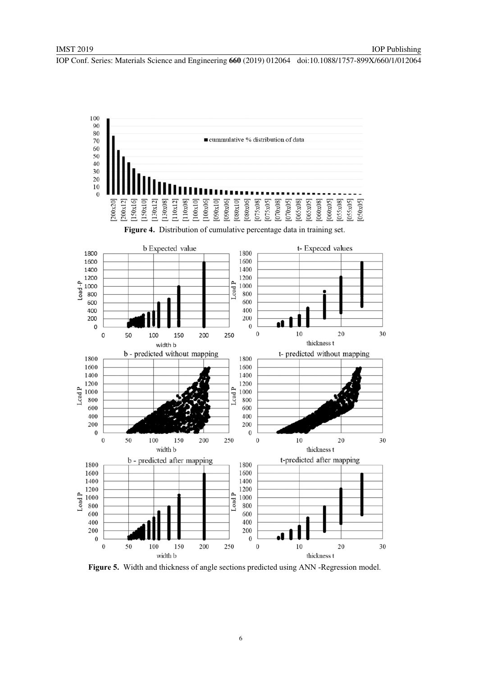

Figure 5. Width and thickness of angle sections predicted using ANN -Regression model.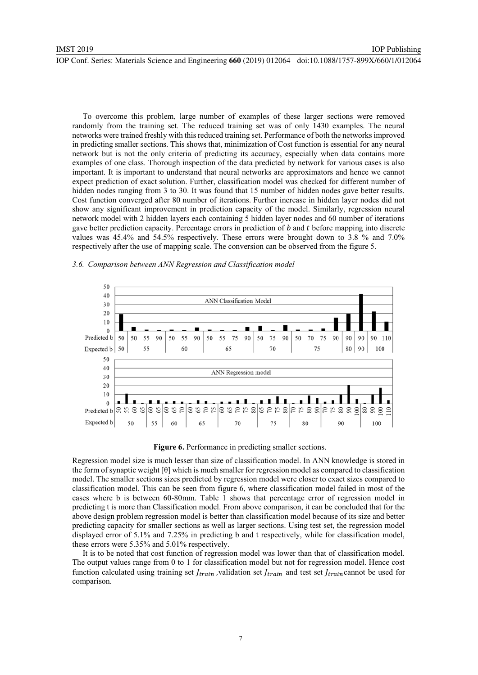To overcome this problem, large number of examples of these larger sections were removed randomly from the training set. The reduced training set was of only 1430 examples. The neural networks were trained freshly with this reduced training set. Performance of both the networks improved

IOP Publishing

in predicting smaller sections. This shows that, minimization of Cost function is essential for any neural network but is not the only criteria of predicting its accuracy, especially when data contains more examples of one class. Thorough inspection of the data predicted by network for various cases is also important. It is important to understand that neural networks are approximators and hence we cannot expect prediction of exact solution. Further, classification model was checked for different number of hidden nodes ranging from 3 to 30. It was found that 15 number of hidden nodes gave better results. Cost function converged after 80 number of iterations. Further increase in hidden layer nodes did not show any significant improvement in prediction capacity of the model. Similarly, regression neural network model with 2 hidden layers each containing 5 hidden layer nodes and 60 number of iterations gave better prediction capacity. Percentage errors in prediction of  $b$  and  $t$  before mapping into discrete values was 45.4% and 54.5% respectively. These errors were brought down to 3.8 % and 7.0% respectively after the use of mapping scale. The conversion can be observed from the figure 5.



#### *3.6. Comparison between ANN Regression and Classification model*

Figure 6. Performance in predicting smaller sections.

Regression model size is much lesser than size of classification model. In ANN knowledge is stored in the form of synaptic weight [θ] which is much smaller for regression model as compared to classification model. The smaller sections sizes predicted by regression model were closer to exact sizes compared to classification model. This can be seen from figure 6, where classification model failed in most of the cases where b is between 60-80mm. Table 1 shows that percentage error of regression model in predicting t is more than Classification model. From above comparison, it can be concluded that for the above design problem regression model is better than classification model because of its size and better predicting capacity for smaller sections as well as larger sections. Using test set, the regression model displayed error of 5.1% and 7.25% in predicting b and t respectively, while for classification model, these errors were 5.35% and 5.01% respectively.

It is to be noted that cost function of regression model was lower than that of classification model. The output values range from 0 to 1 for classification model but not for regression model. Hence cost function calculated using training set  $f_{train}$ , validation set  $f_{train}$  and test set  $f_{train}$  cannot be used for comparison.